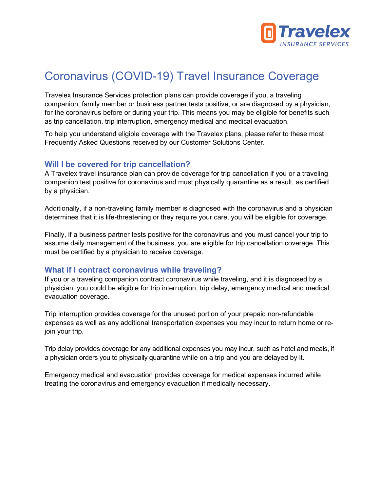

# Coronavirus (COVID-19) Travel Insurance Coverage

Travelex Insurance Services protection plans can provide coverage if you, a traveling companion, family member or business partner tests positive, or are diagnosed by a physician, for the coronavirus before or during your trip. This means you may be eligible for benefits such as trip cancellation, trip interruption, emergency medical and medical evacuation.

To help you understand eligible coverage with the Travelex plans, please refer to these most Frequently Asked Questions received by our Customer Solutions Center.

#### **Will I be covered for trip cancellation?**

A Travelex travel insurance plan can provide coverage for trip cancellation if you or a traveling companion test positive for coronavirus and must physically quarantine as a result, as certified by a physician.

Additionally, if a non-traveling family member is diagnosed with the coronavirus and a physician determines that it is life-threatening or they require your care, you will be eligible for coverage.

Finally, if a business partner tests positive for the coronavirus and you must cancel your trip to assume daily management of the business, you are eligible for trip cancellation coverage. This must be certified by a physician to receive coverage.

#### **What if I contract coronavirus while traveling?**

If you or a traveling companion contract coronavirus while traveling, and it is diagnosed by a physician, you could be eligible for trip interruption, trip delay, emergency medical and medical evacuation coverage.

Trip interruption provides coverage for the unused portion of your prepaid non-refundable expenses as well as any additional transportation expenses you may incur to return home or rejoin your trip.

Trip delay provides coverage for any additional expenses you may incur, such as hotel and meals, if a physician orders you to physically quarantine while on a trip and you are delayed by it.

Emergency medical and evacuation provides coverage for medical expenses incurred while treating the coronavirus and emergency evacuation if medically necessary.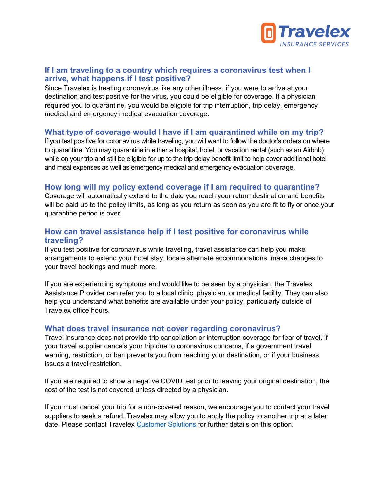

## **If I am traveling to a country which requires a coronavirus test when I arrive, what happens if I test positive?**

Since Travelex is treating coronavirus like any other illness, if you were to arrive at your destination and test positive for the virus, you could be eligible for coverage. If a physician required you to quarantine, you would be eligible for trip interruption, trip delay, emergency medical and emergency medical evacuation coverage.

## **What type of coverage would I have if I am quarantined while on my trip?**

If you test positive for coronavirus while traveling, you will want to follow the doctor's orders on where to quarantine. You may quarantine in either a hospital, hotel, or vacation rental (such as an Airbnb) while on your trip and still be eligible for up to the trip delay benefit limit to help cover additional hotel and meal expenses as well as emergency medical and emergency evacuation coverage.

## **How long will my policy extend coverage if I am required to quarantine?**

Coverage will automatically extend to the date you reach your return destination and benefits will be paid up to the policy limits, as long as you return as soon as you are fit to fly or once your quarantine period is over.

# **How can travel assistance help if I test positive for coronavirus while traveling?**

If you test positive for coronavirus while traveling, travel assistance can help you make arrangements to extend your hotel stay, locate alternate accommodations, make changes to your travel bookings and much more.

If you are experiencing symptoms and would like to be seen by a physician, the Travelex Assistance Provider can refer you to a local clinic, physician, or medical facility. They can also help you understand what benefits are available under your policy, particularly outside of Travelex office hours.

#### **What does travel insurance not cover regarding coronavirus?**

Travel insurance does not provide trip cancellation or interruption coverage for fear of travel, if your travel supplier cancels your trip due to coronavirus concerns, if a government travel warning, restriction, or ban prevents you from reaching your destination, or if your business issues a travel restriction.

If you are required to show a negative COVID test prior to leaving your original destination, the cost of the test is not covered unless directed by a physician.

If you must cancel your trip for a non-covered reason, we encourage you to contact your travel suppliers to seek a refund. Travelex may allow you to apply the policy to another trip at a later date. Please contact Travelex [Customer Solutions](https://www.travelexinsurance.com/customer-service) for further details on this option.